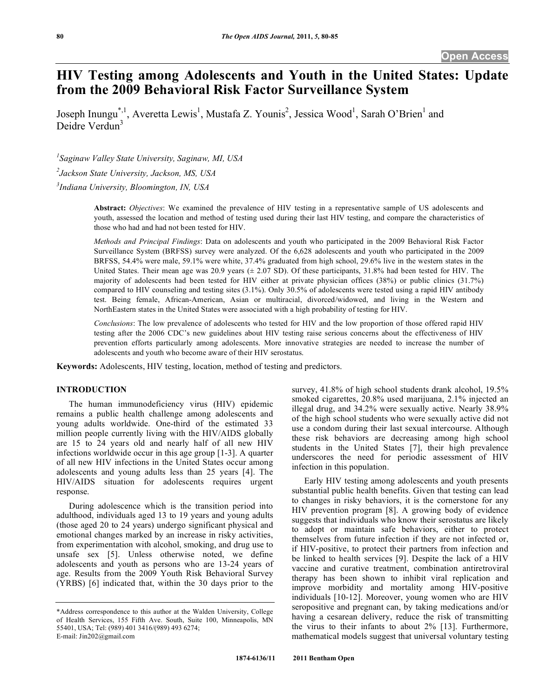# **HIV Testing among Adolescents and Youth in the United States: Update from the 2009 Behavioral Risk Factor Surveillance System**

Joseph Inungu<sup>\*,1</sup>, Averetta Lewis<sup>1</sup>, Mustafa Z. Younis<sup>2</sup>, Jessica Wood<sup>1</sup>, Sarah O'Brien<sup>1</sup> and Deidre Verdun<sup>3</sup>

*1 Saginaw Valley State University, Saginaw, MI, USA* 

*2 Jackson State University, Jackson, MS, USA* 

*3 Indiana University, Bloomington, IN, USA* 

**Abstract:** *Objectives*: We examined the prevalence of HIV testing in a representative sample of US adolescents and youth, assessed the location and method of testing used during their last HIV testing, and compare the characteristics of those who had and had not been tested for HIV.

*Methods and Principal Findings*: Data on adolescents and youth who participated in the 2009 Behavioral Risk Factor Surveillance System (BRFSS) survey were analyzed. Of the 6,628 adolescents and youth who participated in the 2009 BRFSS, 54.4% were male, 59.1% were white, 37.4% graduated from high school, 29.6% live in the western states in the United States. Their mean age was  $20.9$  years ( $\pm 2.07$  SD). Of these participants,  $31.8\%$  had been tested for HIV. The majority of adolescents had been tested for HIV either at private physician offices (38%) or public clinics (31.7%) compared to HIV counseling and testing sites (3.1%). Only 30.5% of adolescents were tested using a rapid HIV antibody test. Being female, African-American, Asian or multiracial, divorced/widowed, and living in the Western and NorthEastern states in the United States were associated with a high probability of testing for HIV.

*Conclusions*: The low prevalence of adolescents who tested for HIV and the low proportion of those offered rapid HIV testing after the 2006 CDC's new guidelines about HIV testing raise serious concerns about the effectiveness of HIV prevention efforts particularly among adolescents. More innovative strategies are needed to increase the number of adolescents and youth who become aware of their HIV serostatus.

**Keywords:** Adolescents, HIV testing, location, method of testing and predictors.

# **INTRODUCTION**

 The human immunodeficiency virus (HIV) epidemic remains a public health challenge among adolescents and young adults worldwide. One-third of the estimated 33 million people currently living with the HIV/AIDS globally are 15 to 24 years old and nearly half of all new HIV infections worldwide occur in this age group [1-3]. A quarter of all new HIV infections in the United States occur among adolescents and young adults less than 25 years [4]. The HIV/AIDS situation for adolescents requires urgent response.

 During adolescence which is the transition period into adulthood, individuals aged 13 to 19 years and young adults (those aged 20 to 24 years) undergo significant physical and emotional changes marked by an increase in risky activities, from experimentation with alcohol, smoking, and drug use to unsafe sex [5]. Unless otherwise noted, we define adolescents and youth as persons who are 13-24 years of age. Results from the 2009 Youth Risk Behavioral Survey (YRBS) [6] indicated that, within the 30 days prior to the

survey, 41.8% of high school students drank alcohol, 19.5% smoked cigarettes, 20.8% used marijuana, 2.1% injected an illegal drug, and 34.2% were sexually active. Nearly 38.9% of the high school students who were sexually active did not use a condom during their last sexual intercourse. Although these risk behaviors are decreasing among high school students in the United States [7], their high prevalence underscores the need for periodic assessment of HIV infection in this population.

 Early HIV testing among adolescents and youth presents substantial public health benefits. Given that testing can lead to changes in risky behaviors, it is the cornerstone for any HIV prevention program [8]. A growing body of evidence suggests that individuals who know their serostatus are likely to adopt or maintain safe behaviors, either to protect themselves from future infection if they are not infected or, if HIV-positive, to protect their partners from infection and be linked to health services [9]. Despite the lack of a HIV vaccine and curative treatment, combination antiretroviral therapy has been shown to inhibit viral replication and improve morbidity and mortality among HIV-positive individuals [10-12]. Moreover, young women who are HIV seropositive and pregnant can, by taking medications and/or having a cesarean delivery, reduce the risk of transmitting the virus to their infants to about 2% [13]. Furthermore, mathematical models suggest that universal voluntary testing

<sup>\*</sup>Address correspondence to this author at the Walden University, College of Health Services, 155 Fifth Ave. South, Suite 100, Minneapolis, MN 55401, USA; Tel: (989) 401 3416/(989) 493 6274; E-mail: Jin202@gmail.com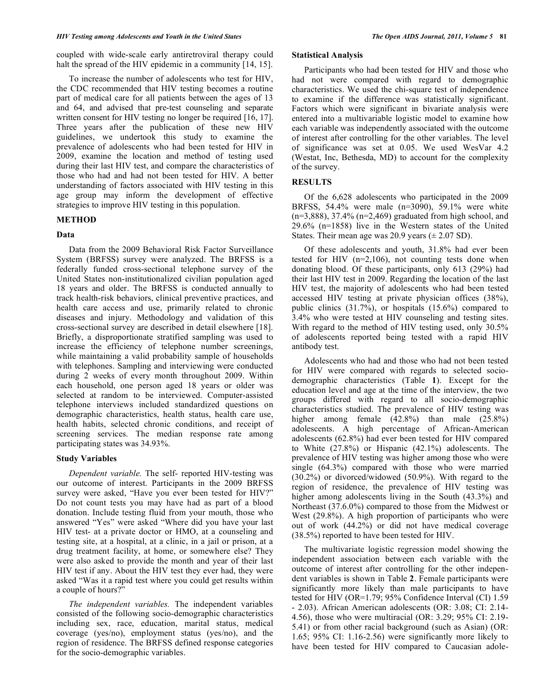coupled with wide-scale early antiretroviral therapy could halt the spread of the HIV epidemic in a community [14, 15].

 To increase the number of adolescents who test for HIV, the CDC recommended that HIV testing becomes a routine part of medical care for all patients between the ages of 13 and 64, and advised that pre-test counseling and separate written consent for HIV testing no longer be required [16, 17]. Three years after the publication of these new HIV guidelines, we undertook this study to examine the prevalence of adolescents who had been tested for HIV in 2009, examine the location and method of testing used during their last HIV test, and compare the characteristics of those who had and had not been tested for HIV. A better understanding of factors associated with HIV testing in this age group may inform the development of effective strategies to improve HIV testing in this population.

## **METHOD**

#### **Data**

 Data from the 2009 Behavioral Risk Factor Surveillance System (BRFSS) survey were analyzed. The BRFSS is a federally funded cross-sectional telephone survey of the United States non-institutionalized civilian population aged 18 years and older. The BRFSS is conducted annually to track health-risk behaviors, clinical preventive practices, and health care access and use, primarily related to chronic diseases and injury. Methodology and validation of this cross-sectional survey are described in detail elsewhere [18]. Briefly, a disproportionate stratified sampling was used to increase the efficiency of telephone number screenings, while maintaining a valid probability sample of households with telephones. Sampling and interviewing were conducted during 2 weeks of every month throughout 2009. Within each household, one person aged 18 years or older was selected at random to be interviewed. Computer-assisted telephone interviews included standardized questions on demographic characteristics, health status, health care use, health habits, selected chronic conditions, and receipt of screening services. The median response rate among participating states was 34.93%.

# **Study Variables**

 *Dependent variable.* The self- reported HIV-testing was our outcome of interest. Participants in the 2009 BRFSS survey were asked, "Have you ever been tested for HIV?" Do not count tests you may have had as part of a blood donation. Include testing fluid from your mouth, those who answered "Yes" were asked "Where did you have your last HIV test- at a private doctor or HMO, at a counseling and testing site, at a hospital, at a clinic, in a jail or prison, at a drug treatment facility, at home, or somewhere else? They were also asked to provide the month and year of their last HIV test if any. About the HIV test they ever had, they were asked "Was it a rapid test where you could get results within a couple of hours?"

 *The independent variables.* The independent variables consisted of the following socio-demographic characteristics including sex, race, education, marital status, medical coverage (yes/no), employment status (yes/no), and the region of residence. The BRFSS defined response categories for the socio-demographic variables.

#### **Statistical Analysis**

 Participants who had been tested for HIV and those who had not were compared with regard to demographic characteristics. We used the chi-square test of independence to examine if the difference was statistically significant. Factors which were significant in bivariate analysis were entered into a multivariable logistic model to examine how each variable was independently associated with the outcome of interest after controlling for the other variables. The level of significance was set at 0.05. We used WesVar 4.2 (Westat, Inc, Bethesda, MD) to account for the complexity of the survey.

## **RESULTS**

 Of the 6,628 adolescents who participated in the 2009 BRFSS, 54.4% were male (n=3090), 59.1% were white  $(n=3,888)$ , 37.4%  $(n=2,469)$  graduated from high school, and 29.6% (n=1858) live in the Western states of the United States. Their mean age was  $20.9$  years ( $\pm 2.07$  SD).

 Of these adolescents and youth, 31.8% had ever been tested for HIV  $(n=2,106)$ , not counting tests done when donating blood. Of these participants, only 613 (29%) had their last HIV test in 2009. Regarding the location of the last HIV test, the majority of adolescents who had been tested accessed HIV testing at private physician offices (38%), public clinics (31.7%), or hospitals (15.6%) compared to 3.4% who were tested at HIV counseling and testing sites. With regard to the method of HIV testing used, only 30.5% of adolescents reported being tested with a rapid HIV antibody test.

 Adolescents who had and those who had not been tested for HIV were compared with regards to selected sociodemographic characteristics (Table **1**). Except for the education level and age at the time of the interview, the two groups differed with regard to all socio-demographic characteristics studied. The prevalence of HIV testing was higher among female (42.8%) than male (25.8%) adolescents. A high percentage of African-American adolescents (62.8%) had ever been tested for HIV compared to White (27.8%) or Hispanic (42.1%) adolescents. The prevalence of HIV testing was higher among those who were single (64.3%) compared with those who were married (30.2%) or divorced/widowed (50.9%). With regard to the region of residence, the prevalence of HIV testing was higher among adolescents living in the South (43.3%) and Northeast (37.6.0%) compared to those from the Midwest or West (29.8%). A high proportion of participants who were out of work (44.2%) or did not have medical coverage (38.5%) reported to have been tested for HIV.

 The multivariate logistic regression model showing the independent association between each variable with the outcome of interest after controlling for the other independent variables is shown in Table **2**. Female participants were significantly more likely than male participants to have tested for HIV (OR=1.79; 95% Confidence Interval (CI) 1.59 - 2.03). African American adolescents (OR: 3.08; CI: 2.14- 4.56), those who were multiracial (OR: 3.29; 95% CI: 2.19- 5.41) or from other racial background (such as Asian) (OR: 1.65; 95% CI: 1.16-2.56) were significantly more likely to have been tested for HIV compared to Caucasian adole-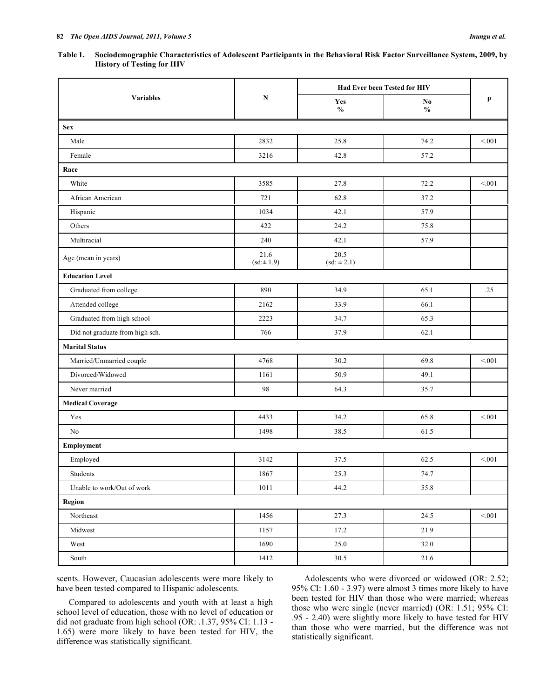| Table 1. | Sociodemographic Characteristics of Adolescent Participants in the Behavioral Risk Factor Surveillance System, 2009, by |
|----------|-------------------------------------------------------------------------------------------------------------------------|
|          | <b>History of Testing for HIV</b>                                                                                       |

|                                 |                       | Had Ever been Tested for HIV |                     |         |
|---------------------------------|-----------------------|------------------------------|---------------------|---------|
| <b>Variables</b>                | ${\bf N}$             | Yes<br>$\mathbf{O}_0$        | No<br>$\frac{0}{0}$ | p       |
| <b>Sex</b>                      |                       |                              |                     |         |
| Male                            | 2832                  | 25.8                         | 74.2                | < 0.01  |
| Female                          | 3216                  | 42.8                         | 57.2                |         |
| Race                            |                       |                              |                     |         |
| White                           | 3585                  | 27.8                         | 72.2                | < 0.01  |
| African American                | 721                   | 62.8                         | 37.2                |         |
| Hispanic                        | 1034                  | 42.1                         | 57.9                |         |
| Others                          | 422                   | 24.2                         | 75.8                |         |
| Multiracial                     | 240                   | 42.1                         | 57.9                |         |
| Age (mean in years)             | 21.6<br>$(sd := 1.9)$ | 20.5<br>$(st: \pm 2.1)$      |                     |         |
| <b>Education Level</b>          |                       |                              |                     |         |
| Graduated from college          | 890                   | 34.9                         | 65.1                | .25     |
| Attended college                | 2162                  | 33.9                         | 66.1                |         |
| Graduated from high school      | 2223                  | 34.7                         | 65.3                |         |
| Did not graduate from high sch. | 766                   | 37.9                         | 62.1                |         |
| <b>Marital Status</b>           |                       |                              |                     |         |
| Married/Unmarried couple        | 4768                  | 30.2                         | 69.8                | $<0.01$ |
| Divorced/Widowed                | 1161                  | 50.9                         | 49.1                |         |
| Never married                   | 98                    | 64.3                         | 35.7                |         |
| <b>Medical Coverage</b>         |                       |                              |                     |         |
| Yes                             | 4433                  | 34.2                         | 65.8                | < 0.01  |
| No                              | 1498                  | 38.5                         | 61.5                |         |
| Employment                      |                       |                              |                     |         |
| Employed                        | 3142                  | 37.5                         | 62.5                | < 0.01  |
| Students                        | 1867                  | 25.3                         | 74.7                |         |
| Unable to work/Out of work      | 1011                  | 44.2                         | 55.8                |         |
| <b>Region</b>                   |                       |                              |                     |         |
| Northeast                       | 1456                  | 27.3                         | 24.5                | < 0.01  |
| Midwest                         | 1157                  | 17.2                         | 21.9                |         |
| West                            | 1690                  | 25.0                         | 32.0                |         |
| South                           | 1412                  | 30.5                         | 21.6                |         |
|                                 |                       |                              |                     |         |

scents. However, Caucasian adolescents were more likely to have been tested compared to Hispanic adolescents.

 Compared to adolescents and youth with at least a high school level of education, those with no level of education or did not graduate from high school (OR: .1.37, 95% CI: 1.13 - 1.65) were more likely to have been tested for HIV, the difference was statistically significant.

 Adolescents who were divorced or widowed (OR: 2.52; 95% CI: 1.60 - 3.97) were almost 3 times more likely to have been tested for HIV than those who were married; whereas those who were single (never married) (OR: 1.51; 95% CI: .95 - 2.40) were slightly more likely to have tested for HIV than those who were married, but the difference was not statistically significant.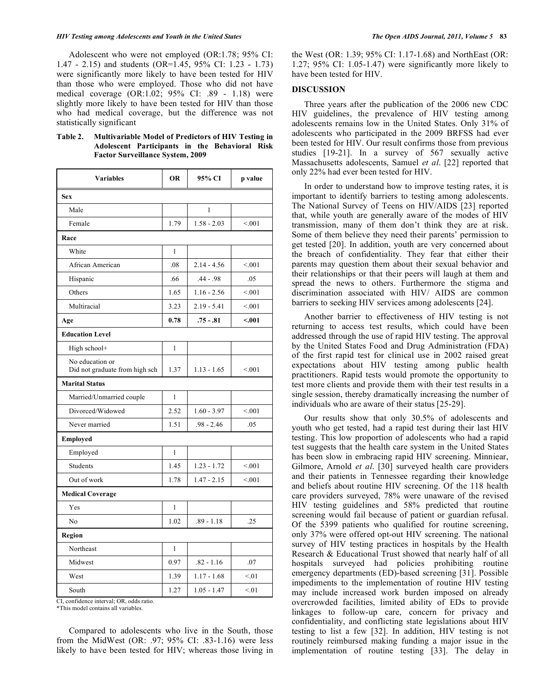#### *HIV Testing among Adolescents and Youth in the United States The Open AIDS Journal, 2011, Volume 5* **83**

 Adolescent who were not employed (OR:1.78; 95% CI: 1.47 - 2.15) and students (OR=1.45, 95% CI: 1.23 - 1.73) were significantly more likely to have been tested for HIV than those who were employed. Those who did not have medical coverage (OR:1.02; 95% CI: .89 - 1.18) were slightly more likely to have been tested for HIV than those who had medical coverage, but the difference was not statistically significant

| Table 2. | <b>Multivariable Model of Predictors of HIV Testing in</b> |                                                |  |  |  |  |
|----------|------------------------------------------------------------|------------------------------------------------|--|--|--|--|
|          |                                                            | Adolescent Participants in the Behavioral Risk |  |  |  |  |
|          | <b>Factor Surveillance System, 2009</b>                    |                                                |  |  |  |  |

| <b>Variables</b>                                  | <b>OR</b>    | 95% CI        | p value |  |  |
|---------------------------------------------------|--------------|---------------|---------|--|--|
| <b>Sex</b>                                        |              |               |         |  |  |
| Male                                              |              | 1             |         |  |  |
| Female                                            | 1.79         | $1.58 - 2.03$ | < 0.01  |  |  |
| Race                                              |              |               |         |  |  |
| White                                             | $\mathbf{1}$ |               |         |  |  |
| African American                                  | .08          | $2.14 - 4.56$ | < 001   |  |  |
| Hispanic                                          | .66          | $.44 - .98$   | .05     |  |  |
| Others                                            | 1.65         | $1.16 - 2.56$ | < 0.01  |  |  |
| Multiracial                                       | 3.23         | $2.19 - 5.41$ | < 0.01  |  |  |
| Age                                               | 0.78         | $.75 - .81$   | < .001  |  |  |
| <b>Education Level</b>                            |              |               |         |  |  |
| High school+                                      | 1            |               |         |  |  |
| No education or<br>Did not graduate from high sch | 1.37         | $1.13 - 1.65$ | < 0.01  |  |  |
| <b>Marital Status</b>                             |              |               |         |  |  |
| Married/Unmarried couple                          | 1            |               |         |  |  |
| Divorced/Widowed                                  | 2.52         | $1.60 - 3.97$ | < 0.01  |  |  |
| Never married                                     | 1.51         | $.98 - 2.46$  | .05     |  |  |
| Employed                                          |              |               |         |  |  |
| Employed                                          | 1            |               |         |  |  |
| Students                                          | 1.45         | $1.23 - 1.72$ | < 001   |  |  |
| Out of work                                       | 1.78         | $1.47 - 2.15$ | < 001   |  |  |
| <b>Medical Coverage</b>                           |              |               |         |  |  |
| Yes                                               | 1            |               |         |  |  |
| No                                                | 1.02         | $.89 - 1.18$  | .25     |  |  |
| Region                                            |              |               |         |  |  |
| Northeast                                         | 1            |               |         |  |  |
| Midwest                                           | 0.97         | $.82 - 1.16$  | .07     |  |  |
| West                                              | 1.39         | $1.17 - 1.68$ | < 01    |  |  |
| South                                             | 1.27         | $1.05 - 1.47$ | < 01    |  |  |

CI, confidence interval; OR, odds ratio. \*This model contains all variables.

 Compared to adolescents who live in the South, those from the MidWest (OR: .97; 95% CI: .83-1.16) were less likely to have been tested for HIV; whereas those living in the West (OR: 1.39; 95% CI: 1.17-1.68) and NorthEast (OR: 1.27; 95% CI: 1.05-1.47) were significantly more likely to have been tested for HIV.

### **DISCUSSION**

 Three years after the publication of the 2006 new CDC HIV guidelines, the prevalence of HIV testing among adolescents remains low in the United States. Only 31% of adolescents who participated in the 2009 BRFSS had ever been tested for HIV. Our result confirms those from previous studies [19-21]. In a survey of 567 sexually active Massachusetts adolescents, Samuel *et al*. [22] reported that only 22% had ever been tested for HIV.

 In order to understand how to improve testing rates, it is important to identify barriers to testing among adolescents. The National Survey of Teens on HIV/AIDS [23] reported that, while youth are generally aware of the modes of HIV transmission, many of them don't think they are at risk. Some of them believe they need their parents' permission to get tested [20]. In addition, youth are very concerned about the breach of confidentiality. They fear that either their parents may question them about their sexual behavior and their relationships or that their peers will laugh at them and spread the news to others. Furthermore the stigma and discrimination associated with HIV/ AIDS are common barriers to seeking HIV services among adolescents [24].

 Another barrier to effectiveness of HIV testing is not returning to access test results, which could have been addressed through the use of rapid HIV testing. The approval by the United States Food and Drug Administration (FDA) of the first rapid test for clinical use in 2002 raised great expectations about HIV testing among public health practitioners. Rapid tests would promote the opportunity to test more clients and provide them with their test results in a single session, thereby dramatically increasing the number of individuals who are aware of their status [25-29].

 Our results show that only 30.5% of adolescents and youth who get tested, had a rapid test during their last HIV testing. This low proportion of adolescents who had a rapid test suggests that the health care system in the United States has been slow in embracing rapid HIV screening. Minniear, Gilmore, Arnold *et al*. [30] surveyed health care providers and their patients in Tennessee regarding their knowledge and beliefs about routine HIV screening. Of the 118 health care providers surveyed, 78% were unaware of the revised HIV testing guidelines and 58% predicted that routine screening would fail because of patient or guardian refusal. Of the 5399 patients who qualified for routine screening, only 37% were offered opt-out HIV screening. The national survey of HIV testing practices in hospitals by the Health Research & Educational Trust showed that nearly half of all hospitals surveyed had policies prohibiting routine emergency departments (ED)-based screening [31]. Possible impediments to the implementation of routine HIV testing may include increased work burden imposed on already overcrowded facilities, limited ability of EDs to provide linkages to follow-up care, concern for privacy and confidentiality, and conflicting state legislations about HIV testing to list a few [32]. In addition, HIV testing is not routinely reimbursed making funding a major issue in the implementation of routine testing [33]. The delay in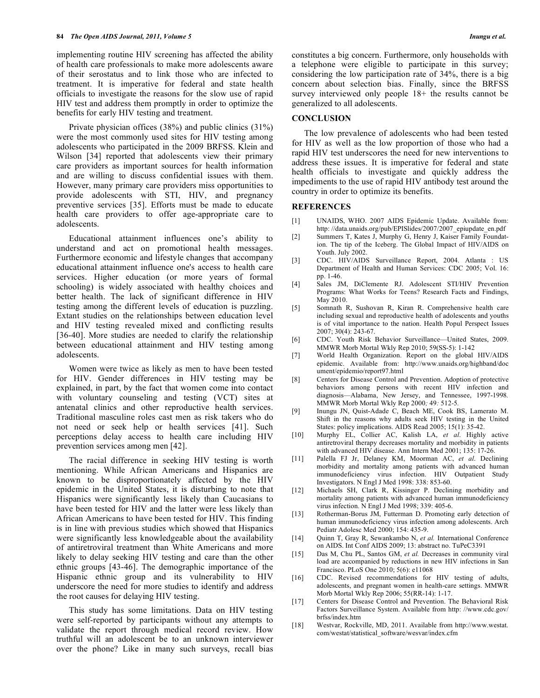implementing routine HIV screening has affected the ability of health care professionals to make more adolescents aware of their serostatus and to link those who are infected to treatment. It is imperative for federal and state health officials to investigate the reasons for the slow use of rapid HIV test and address them promptly in order to optimize the benefits for early HIV testing and treatment.

 Private physician offices (38%) and public clinics (31%) were the most commonly used sites for HIV testing among adolescents who participated in the 2009 BRFSS. Klein and Wilson [34] reported that adolescents view their primary care providers as important sources for health information and are willing to discuss confidential issues with them. However, many primary care providers miss opportunities to provide adolescents with STI, HIV, and pregnancy preventive services [35]. Efforts must be made to educate health care providers to offer age-appropriate care to adolescents.

 Educational attainment influences one's ability to understand and act on promotional health messages. Furthermore economic and lifestyle changes that accompany educational attainment influence one's access to health care services. Higher education (or more years of formal schooling) is widely associated with healthy choices and better health. The lack of significant difference in HIV testing among the different levels of education is puzzling. Extant studies on the relationships between education level and HIV testing revealed mixed and conflicting results [36-40]. More studies are needed to clarify the relationship between educational attainment and HIV testing among adolescents.

 Women were twice as likely as men to have been tested for HIV. Gender differences in HIV testing may be explained, in part, by the fact that women come into contact with voluntary counseling and testing (VCT) sites at antenatal clinics and other reproductive health services. Traditional masculine roles cast men as risk takers who do not need or seek help or health services [41]. Such perceptions delay access to health care including HIV prevention services among men [42].

 The racial difference in seeking HIV testing is worth mentioning. While African Americans and Hispanics are known to be disproportionately affected by the HIV epidemic in the United States, it is disturbing to note that Hispanics were significantly less likely than Caucasians to have been tested for HIV and the latter were less likely than African Americans to have been tested for HIV. This finding is in line with previous studies which showed that Hispanics were significantly less knowledgeable about the availability of antiretroviral treatment than White Americans and more likely to delay seeking HIV testing and care than the other ethnic groups [43-46]. The demographic importance of the Hispanic ethnic group and its vulnerability to HIV underscore the need for more studies to identify and address the root causes for delaying HIV testing.

 This study has some limitations. Data on HIV testing were self-reported by participants without any attempts to validate the report through medical record review. How truthful will an adolescent be to an unknown interviewer over the phone? Like in many such surveys, recall bias

constitutes a big concern. Furthermore, only households with a telephone were eligible to participate in this survey; considering the low participation rate of 34%, there is a big concern about selection bias. Finally, since the BRFSS survey interviewed only people  $18+$  the results cannot be generalized to all adolescents.

# **CONCLUSION**

 The low prevalence of adolescents who had been tested for HIV as well as the low proportion of those who had a rapid HIV test underscores the need for new interventions to address these issues. It is imperative for federal and state health officials to investigate and quickly address the impediments to the use of rapid HIV antibody test around the country in order to optimize its benefits.

#### **REFERENCES**

- [1] UNAIDS, WHO. 2007 AIDS Epidemic Update. Available from: http: //data.unaids.org/pub/EPISlides/2007/2007\_epiupdate\_en.pdf
- [2] Summers T, Kates J, Murphy G, Henry J, Kaiser Family Foundation. The tip of the Iceberg. The Global Impact of HIV/AIDS on Youth. July 2002.
- [3] CDC. HIV/AIDS Surveillance Report, 2004. Atlanta : US Department of Health and Human Services: CDC 2005; Vol. 16: pp. 1-46.
- [4] Sales JM, DiClemente RJ. Adolescent STI/HIV Prevention Programs: What Works for Teens? Research Facts and Findings, May 2010.
- [5] Somnath R, Sushovan R, Kiran R. Comprehensive health care including sexual and reproductive health of adolescents and youths is of vital importance to the nation. Health Popul Perspect Issues 2007; 30(4): 243-67.
- [6] CDC. Youth Risk Behavior Surveillance—United States, 2009. MMWR Morb Mortal Wkly Rep 2010; 59(SS-5): 1-142
- [7] World Health Organization. Report on the global HIV/AIDS epidemic. Available from: http://www.unaids.org/highband/doc ument/epidemio/report97.html
- [8] Centers for Disease Control and Prevention. Adoption of protective behaviors among persons with recent HIV infection and diagnosis—Alabama, New Jersey, and Tennessee, 1997-1998*.*  MMWR Morb Mortal Wkly Rep 2000*;* 49*:* 512*-*5*.*
- [9] Inungu JN, Quist-Adade C, Beach ME, Cook BS, Lamerato M. Shift in the reasons why adults seek HIV testing in the United States: policy implications. AIDS Read 2005; 15(1): 35-42.
- [10] Murphy EL, Collier AC, Kalish LA, *et al*. Highly active antiretroviral therapy decreases mortality and morbidity in patients with advanced HIV disease. Ann Intern Med 2001; 135: 17-26.
- [11] Palella FJ Jr, Delaney KM, Moorman AC, *et al*. Declining morbidity and mortality among patients with advanced human immunodeficiency virus infection. HIV Outpatient Study Investigators. N Engl J Med 1998: 338: 853-60.
- [12] Michaels SH, Clark R, Kissinger P. Declining morbidity and mortality among patients with advanced human immunodeficiency virus infection. N Engl J Med 1998; 339: 405-6.
- [13] Rotherman-Borus JM, Futterman D. Promoting early detection of human immunodeficiency virus infection among adolescents. Arch Pediatr Adolesc Med 2000; 154: 435-9.
- [14] Quinn T, Gray R, Sewankambo N, *et al.* International Conference on AIDS. Int Conf AIDS 2009; 13: abstract no. TuPeC3391
- [15] Das M, Chu PL, Santos GM, et al. Decreases in community viral load are accompanied by reductions in new HIV infections in San Francisco. PLoS One 2010; 5(6): e11068
- [16] CDC. Revised recommendations for HIV testing of adults, adolescents, and pregnant women in health-care settings. MMWR Morb Mortal Wkly Rep 2006; 55(RR-14): 1-17.
- [17] Centers for Disease Control and Prevention. The Behavioral Risk Factors Surveillance System. Available from http: //www.cdc.gov/ brfss/index.htm
- [18] Westvar, Rockville, MD, 2011. Available from http://www.westat. com/westat/statistical\_software/wesvar/index.cfm